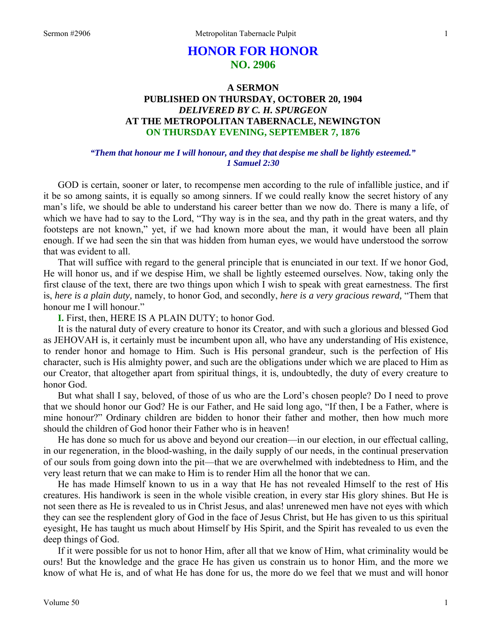# **HONOR FOR HONOR NO. 2906**

## **A SERMON PUBLISHED ON THURSDAY, OCTOBER 20, 1904**  *DELIVERED BY C. H. SPURGEON*  **AT THE METROPOLITAN TABERNACLE, NEWINGTON ON THURSDAY EVENING, SEPTEMBER 7, 1876**

### *"Them that honour me I will honour, and they that despise me shall be lightly esteemed." 1 Samuel 2:30*

GOD is certain, sooner or later, to recompense men according to the rule of infallible justice, and if it be so among saints, it is equally so among sinners. If we could really know the secret history of any man's life, we should be able to understand his career better than we now do. There is many a life, of which we have had to say to the Lord, "Thy way is in the sea, and thy path in the great waters, and thy footsteps are not known," yet, if we had known more about the man, it would have been all plain enough. If we had seen the sin that was hidden from human eyes, we would have understood the sorrow that was evident to all.

That will suffice with regard to the general principle that is enunciated in our text. If we honor God, He will honor us, and if we despise Him, we shall be lightly esteemed ourselves. Now, taking only the first clause of the text, there are two things upon which I wish to speak with great earnestness. The first is, *here is a plain duty,* namely, to honor God, and secondly, *here is a very gracious reward,* "Them that honour me I will honour."

**I.** First, then, HERE IS A PLAIN DUTY; to honor God.

It is the natural duty of every creature to honor its Creator, and with such a glorious and blessed God as JEHOVAH is, it certainly must be incumbent upon all, who have any understanding of His existence, to render honor and homage to Him. Such is His personal grandeur, such is the perfection of His character, such is His almighty power, and such are the obligations under which we are placed to Him as our Creator, that altogether apart from spiritual things, it is, undoubtedly, the duty of every creature to honor God.

But what shall I say, beloved, of those of us who are the Lord's chosen people? Do I need to prove that we should honor our God? He is our Father, and He said long ago, "If then, I be a Father, where is mine honour?" Ordinary children are bidden to honor their father and mother, then how much more should the children of God honor their Father who is in heaven!

He has done so much for us above and beyond our creation—in our election, in our effectual calling, in our regeneration, in the blood-washing, in the daily supply of our needs, in the continual preservation of our souls from going down into the pit—that we are overwhelmed with indebtedness to Him, and the very least return that we can make to Him is to render Him all the honor that we can.

He has made Himself known to us in a way that He has not revealed Himself to the rest of His creatures. His handiwork is seen in the whole visible creation, in every star His glory shines. But He is not seen there as He is revealed to us in Christ Jesus, and alas! unrenewed men have not eyes with which they can see the resplendent glory of God in the face of Jesus Christ, but He has given to us this spiritual eyesight, He has taught us much about Himself by His Spirit, and the Spirit has revealed to us even the deep things of God.

If it were possible for us not to honor Him, after all that we know of Him, what criminality would be ours! But the knowledge and the grace He has given us constrain us to honor Him, and the more we know of what He is, and of what He has done for us, the more do we feel that we must and will honor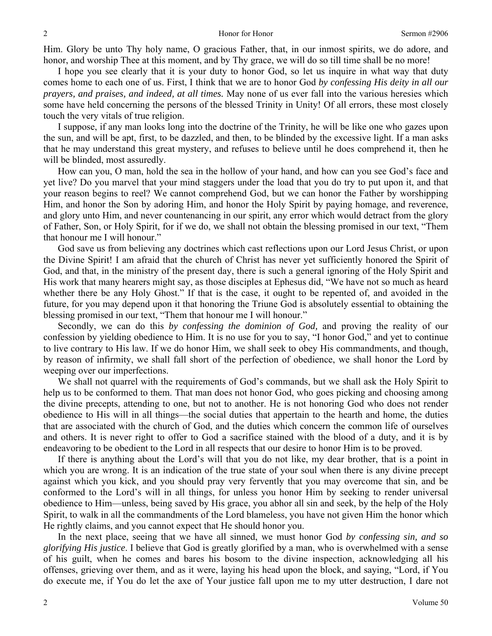Him. Glory be unto Thy holy name, O gracious Father, that, in our inmost spirits, we do adore, and honor, and worship Thee at this moment, and by Thy grace, we will do so till time shall be no more!

I hope you see clearly that it is your duty to honor God, so let us inquire in what way that duty comes home to each one of us. First, I think that we are to honor God *by confessing His deity in all our prayers, and praises, and indeed, at all times.* May none of us ever fall into the various heresies which some have held concerning the persons of the blessed Trinity in Unity! Of all errors, these most closely touch the very vitals of true religion.

I suppose, if any man looks long into the doctrine of the Trinity, he will be like one who gazes upon the sun, and will be apt, first, to be dazzled, and then, to be blinded by the excessive light. If a man asks that he may understand this great mystery, and refuses to believe until he does comprehend it, then he will be blinded, most assuredly.

How can you, O man, hold the sea in the hollow of your hand, and how can you see God's face and yet live? Do you marvel that your mind staggers under the load that you do try to put upon it, and that your reason begins to reel? We cannot comprehend God, but we can honor the Father by worshipping Him, and honor the Son by adoring Him, and honor the Holy Spirit by paying homage, and reverence, and glory unto Him, and never countenancing in our spirit, any error which would detract from the glory of Father, Son, or Holy Spirit, for if we do, we shall not obtain the blessing promised in our text, "Them that honour me I will honour."

God save us from believing any doctrines which cast reflections upon our Lord Jesus Christ, or upon the Divine Spirit! I am afraid that the church of Christ has never yet sufficiently honored the Spirit of God, and that, in the ministry of the present day, there is such a general ignoring of the Holy Spirit and His work that many hearers might say, as those disciples at Ephesus did, "We have not so much as heard whether there be any Holy Ghost." If that is the case, it ought to be repented of, and avoided in the future, for you may depend upon it that honoring the Triune God is absolutely essential to obtaining the blessing promised in our text, "Them that honour me I will honour."

Secondly, we can do this *by confessing the dominion of God,* and proving the reality of our confession by yielding obedience to Him. It is no use for you to say, "I honor God," and yet to continue to live contrary to His law. If we do honor Him, we shall seek to obey His commandments, and though, by reason of infirmity, we shall fall short of the perfection of obedience, we shall honor the Lord by weeping over our imperfections.

We shall not quarrel with the requirements of God's commands, but we shall ask the Holy Spirit to help us to be conformed to them. That man does not honor God, who goes picking and choosing among the divine precepts, attending to one, but not to another. He is not honoring God who does not render obedience to His will in all things—the social duties that appertain to the hearth and home, the duties that are associated with the church of God, and the duties which concern the common life of ourselves and others. It is never right to offer to God a sacrifice stained with the blood of a duty, and it is by endeavoring to be obedient to the Lord in all respects that our desire to honor Him is to be proved.

If there is anything about the Lord's will that you do not like, my dear brother, that is a point in which you are wrong. It is an indication of the true state of your soul when there is any divine precept against which you kick, and you should pray very fervently that you may overcome that sin, and be conformed to the Lord's will in all things, for unless you honor Him by seeking to render universal obedience to Him—unless, being saved by His grace, you abhor all sin and seek, by the help of the Holy Spirit, to walk in all the commandments of the Lord blameless, you have not given Him the honor which He rightly claims, and you cannot expect that He should honor you.

In the next place, seeing that we have all sinned, we must honor God *by confessing sin, and so glorifying His justice*. I believe that God is greatly glorified by a man, who is overwhelmed with a sense of his guilt, when he comes and bares his bosom to the divine inspection, acknowledging all his offenses, grieving over them, and as it were, laying his head upon the block, and saying, "Lord, if You do execute me, if You do let the axe of Your justice fall upon me to my utter destruction, I dare not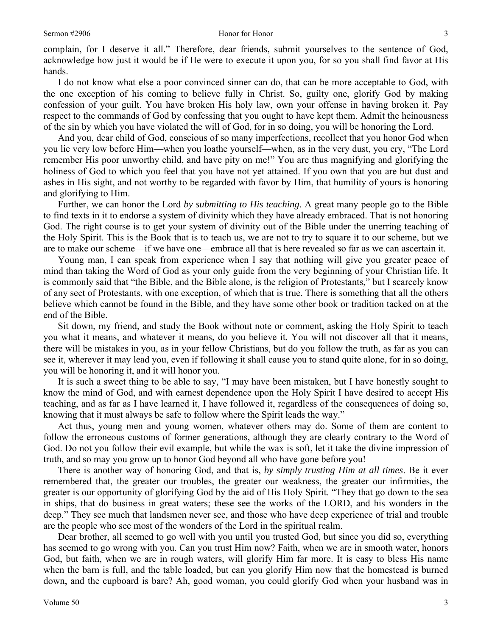complain, for I deserve it all." Therefore, dear friends, submit yourselves to the sentence of God, acknowledge how just it would be if He were to execute it upon you, for so you shall find favor at His hands.

I do not know what else a poor convinced sinner can do, that can be more acceptable to God, with the one exception of his coming to believe fully in Christ. So, guilty one, glorify God by making confession of your guilt. You have broken His holy law, own your offense in having broken it. Pay respect to the commands of God by confessing that you ought to have kept them. Admit the heinousness of the sin by which you have violated the will of God, for in so doing, you will be honoring the Lord.

And you, dear child of God, conscious of so many imperfections, recollect that you honor God when you lie very low before Him—when you loathe yourself—when, as in the very dust, you cry, "The Lord remember His poor unworthy child, and have pity on me!" You are thus magnifying and glorifying the holiness of God to which you feel that you have not yet attained. If you own that you are but dust and ashes in His sight, and not worthy to be regarded with favor by Him, that humility of yours is honoring and glorifying to Him.

Further, we can honor the Lord *by submitting to His teaching*. A great many people go to the Bible to find texts in it to endorse a system of divinity which they have already embraced. That is not honoring God. The right course is to get your system of divinity out of the Bible under the unerring teaching of the Holy Spirit. This is the Book that is to teach us, we are not to try to square it to our scheme, but we are to make our scheme—if we have one—embrace all that is here revealed so far as we can ascertain it.

Young man, I can speak from experience when I say that nothing will give you greater peace of mind than taking the Word of God as your only guide from the very beginning of your Christian life. It is commonly said that "the Bible, and the Bible alone, is the religion of Protestants," but I scarcely know of any sect of Protestants, with one exception, of which that is true. There is something that all the others believe which cannot be found in the Bible, and they have some other book or tradition tacked on at the end of the Bible.

Sit down, my friend, and study the Book without note or comment, asking the Holy Spirit to teach you what it means, and whatever it means, do you believe it. You will not discover all that it means, there will be mistakes in you, as in your fellow Christians, but do you follow the truth, as far as you can see it, wherever it may lead you, even if following it shall cause you to stand quite alone, for in so doing, you will be honoring it, and it will honor you.

It is such a sweet thing to be able to say, "I may have been mistaken, but I have honestly sought to know the mind of God, and with earnest dependence upon the Holy Spirit I have desired to accept His teaching, and as far as I have learned it, I have followed it, regardless of the consequences of doing so, knowing that it must always be safe to follow where the Spirit leads the way."

Act thus, young men and young women, whatever others may do. Some of them are content to follow the erroneous customs of former generations, although they are clearly contrary to the Word of God. Do not you follow their evil example, but while the wax is soft, let it take the divine impression of truth, and so may you grow up to honor God beyond all who have gone before you!

There is another way of honoring God, and that is, *by simply trusting Him at all times*. Be it ever remembered that, the greater our troubles, the greater our weakness, the greater our infirmities, the greater is our opportunity of glorifying God by the aid of His Holy Spirit. "They that go down to the sea in ships, that do business in great waters; these see the works of the LORD, and his wonders in the deep." They see much that landsmen never see, and those who have deep experience of trial and trouble are the people who see most of the wonders of the Lord in the spiritual realm.

Dear brother, all seemed to go well with you until you trusted God, but since you did so, everything has seemed to go wrong with you. Can you trust Him now? Faith, when we are in smooth water, honors God, but faith, when we are in rough waters, will glorify Him far more. It is easy to bless His name when the barn is full, and the table loaded, but can you glorify Him now that the homestead is burned down, and the cupboard is bare? Ah, good woman, you could glorify God when your husband was in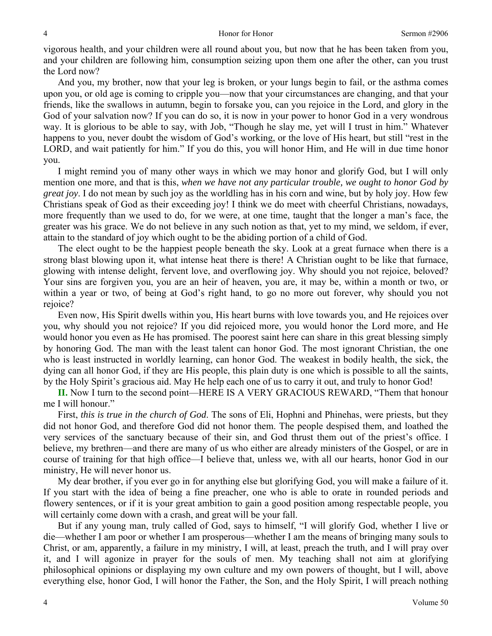#### 4 Honor for Honor Sermon #2906

vigorous health, and your children were all round about you, but now that he has been taken from you, and your children are following him, consumption seizing upon them one after the other, can you trust the Lord now?

And you, my brother, now that your leg is broken, or your lungs begin to fail, or the asthma comes upon you, or old age is coming to cripple you—now that your circumstances are changing, and that your friends, like the swallows in autumn, begin to forsake you, can you rejoice in the Lord, and glory in the God of your salvation now? If you can do so, it is now in your power to honor God in a very wondrous way. It is glorious to be able to say, with Job, "Though he slay me, yet will I trust in him." Whatever happens to you, never doubt the wisdom of God's working, or the love of His heart, but still "rest in the LORD, and wait patiently for him." If you do this, you will honor Him, and He will in due time honor you.

I might remind you of many other ways in which we may honor and glorify God, but I will only mention one more, and that is this, *when we have not any particular trouble, we ought to honor God by great joy*. I do not mean by such joy as the worldling has in his corn and wine, but by holy joy. How few Christians speak of God as their exceeding joy! I think we do meet with cheerful Christians, nowadays, more frequently than we used to do, for we were, at one time, taught that the longer a man's face, the greater was his grace. We do not believe in any such notion as that, yet to my mind, we seldom, if ever, attain to the standard of joy which ought to be the abiding portion of a child of God.

The elect ought to be the happiest people beneath the sky. Look at a great furnace when there is a strong blast blowing upon it, what intense heat there is there! A Christian ought to be like that furnace, glowing with intense delight, fervent love, and overflowing joy. Why should you not rejoice, beloved? Your sins are forgiven you, you are an heir of heaven, you are, it may be, within a month or two, or within a year or two, of being at God's right hand, to go no more out forever, why should you not rejoice?

Even now, His Spirit dwells within you, His heart burns with love towards you, and He rejoices over you, why should you not rejoice? If you did rejoiced more, you would honor the Lord more, and He would honor you even as He has promised. The poorest saint here can share in this great blessing simply by honoring God. The man with the least talent can honor God. The most ignorant Christian, the one who is least instructed in worldly learning, can honor God. The weakest in bodily health, the sick, the dying can all honor God, if they are His people, this plain duty is one which is possible to all the saints, by the Holy Spirit's gracious aid. May He help each one of us to carry it out, and truly to honor God!

**II.** Now I turn to the second point—HERE IS A VERY GRACIOUS REWARD, "Them that honour me I will honour."

First, *this is true in the church of God*. The sons of Eli, Hophni and Phinehas, were priests, but they did not honor God, and therefore God did not honor them. The people despised them, and loathed the very services of the sanctuary because of their sin, and God thrust them out of the priest's office. I believe, my brethren—and there are many of us who either are already ministers of the Gospel, or are in course of training for that high office—I believe that, unless we, with all our hearts, honor God in our ministry, He will never honor us.

My dear brother, if you ever go in for anything else but glorifying God, you will make a failure of it. If you start with the idea of being a fine preacher, one who is able to orate in rounded periods and flowery sentences, or if it is your great ambition to gain a good position among respectable people, you will certainly come down with a crash, and great will be your fall.

But if any young man, truly called of God, says to himself, "I will glorify God, whether I live or die—whether I am poor or whether I am prosperous—whether I am the means of bringing many souls to Christ, or am, apparently, a failure in my ministry, I will, at least, preach the truth, and I will pray over it, and I will agonize in prayer for the souls of men. My teaching shall not aim at glorifying philosophical opinions or displaying my own culture and my own powers of thought, but I will, above everything else, honor God, I will honor the Father, the Son, and the Holy Spirit, I will preach nothing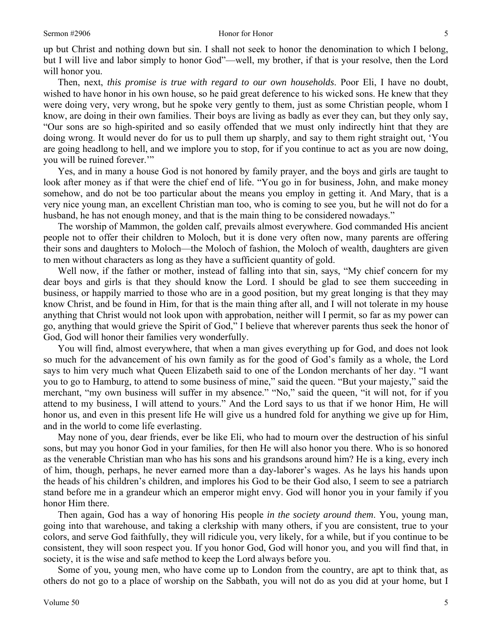up but Christ and nothing down but sin. I shall not seek to honor the denomination to which I belong, but I will live and labor simply to honor God"—well, my brother, if that is your resolve, then the Lord will honor you.

Then, next, *this promise is true with regard to our own households*. Poor Eli, I have no doubt, wished to have honor in his own house, so he paid great deference to his wicked sons. He knew that they were doing very, very wrong, but he spoke very gently to them, just as some Christian people, whom I know, are doing in their own families. Their boys are living as badly as ever they can, but they only say, "Our sons are so high-spirited and so easily offended that we must only indirectly hint that they are doing wrong. It would never do for us to pull them up sharply, and say to them right straight out, 'You are going headlong to hell, and we implore you to stop, for if you continue to act as you are now doing, you will be ruined forever."

Yes, and in many a house God is not honored by family prayer, and the boys and girls are taught to look after money as if that were the chief end of life. "You go in for business, John, and make money somehow, and do not be too particular about the means you employ in getting it. And Mary, that is a very nice young man, an excellent Christian man too, who is coming to see you, but he will not do for a husband, he has not enough money, and that is the main thing to be considered nowadays."

The worship of Mammon, the golden calf, prevails almost everywhere. God commanded His ancient people not to offer their children to Moloch, but it is done very often now, many parents are offering their sons and daughters to Moloch—the Moloch of fashion, the Moloch of wealth, daughters are given to men without characters as long as they have a sufficient quantity of gold.

Well now, if the father or mother, instead of falling into that sin, says, "My chief concern for my dear boys and girls is that they should know the Lord. I should be glad to see them succeeding in business, or happily married to those who are in a good position, but my great longing is that they may know Christ, and be found in Him, for that is the main thing after all, and I will not tolerate in my house anything that Christ would not look upon with approbation, neither will I permit, so far as my power can go, anything that would grieve the Spirit of God," I believe that wherever parents thus seek the honor of God, God will honor their families very wonderfully.

You will find, almost everywhere, that when a man gives everything up for God, and does not look so much for the advancement of his own family as for the good of God's family as a whole, the Lord says to him very much what Queen Elizabeth said to one of the London merchants of her day. "I want you to go to Hamburg, to attend to some business of mine," said the queen. "But your majesty," said the merchant, "my own business will suffer in my absence." "No," said the queen, "it will not, for if you attend to my business, I will attend to yours." And the Lord says to us that if we honor Him, He will honor us, and even in this present life He will give us a hundred fold for anything we give up for Him, and in the world to come life everlasting.

May none of you, dear friends, ever be like Eli, who had to mourn over the destruction of his sinful sons, but may you honor God in your families, for then He will also honor you there. Who is so honored as the venerable Christian man who has his sons and his grandsons around him? He is a king, every inch of him, though, perhaps, he never earned more than a day-laborer's wages. As he lays his hands upon the heads of his children's children, and implores his God to be their God also, I seem to see a patriarch stand before me in a grandeur which an emperor might envy. God will honor you in your family if you honor Him there.

Then again, God has a way of honoring His people *in the society around them*. You, young man, going into that warehouse, and taking a clerkship with many others, if you are consistent, true to your colors, and serve God faithfully, they will ridicule you, very likely, for a while, but if you continue to be consistent, they will soon respect you. If you honor God, God will honor you, and you will find that, in society, it is the wise and safe method to keep the Lord always before you.

Some of you, young men, who have come up to London from the country, are apt to think that, as others do not go to a place of worship on the Sabbath, you will not do as you did at your home, but I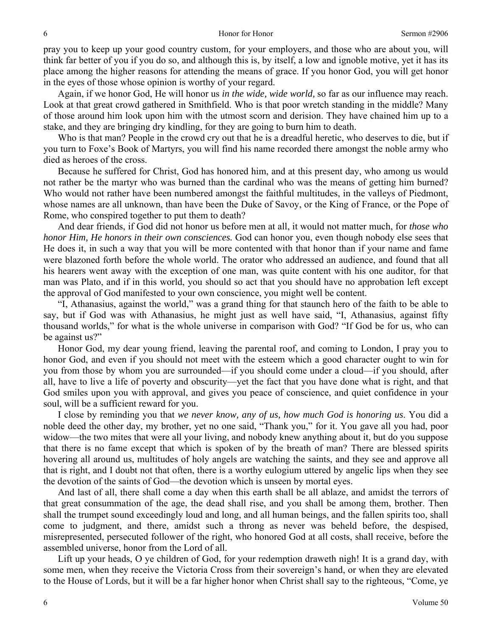pray you to keep up your good country custom, for your employers, and those who are about you, will think far better of you if you do so, and although this is, by itself, a low and ignoble motive, yet it has its place among the higher reasons for attending the means of grace. If you honor God, you will get honor in the eyes of those whose opinion is worthy of your regard.

Again, if we honor God, He will honor us *in the wide, wide world,* so far as our influence may reach. Look at that great crowd gathered in Smithfield. Who is that poor wretch standing in the middle? Many of those around him look upon him with the utmost scorn and derision. They have chained him up to a stake, and they are bringing dry kindling, for they are going to burn him to death.

Who is that man? People in the crowd cry out that he is a dreadful heretic, who deserves to die, but if you turn to Foxe's Book of Martyrs, you will find his name recorded there amongst the noble army who died as heroes of the cross.

Because he suffered for Christ, God has honored him, and at this present day, who among us would not rather be the martyr who was burned than the cardinal who was the means of getting him burned? Who would not rather have been numbered amongst the faithful multitudes, in the valleys of Piedmont, whose names are all unknown, than have been the Duke of Savoy, or the King of France, or the Pope of Rome, who conspired together to put them to death?

And dear friends, if God did not honor us before men at all, it would not matter much, for *those who honor Him, He honors in their own consciences.* God can honor you, even though nobody else sees that He does it, in such a way that you will be more contented with that honor than if your name and fame were blazoned forth before the whole world. The orator who addressed an audience, and found that all his hearers went away with the exception of one man, was quite content with his one auditor, for that man was Plato, and if in this world, you should so act that you should have no approbation left except the approval of God manifested to your own conscience, you might well be content.

"I, Athanasius, against the world," was a grand thing for that staunch hero of the faith to be able to say, but if God was with Athanasius, he might just as well have said, "I, Athanasius, against fifty thousand worlds," for what is the whole universe in comparison with God? "If God be for us, who can be against us?"

Honor God, my dear young friend, leaving the parental roof, and coming to London, I pray you to honor God, and even if you should not meet with the esteem which a good character ought to win for you from those by whom you are surrounded—if you should come under a cloud—if you should, after all, have to live a life of poverty and obscurity—yet the fact that you have done what is right, and that God smiles upon you with approval, and gives you peace of conscience, and quiet confidence in your soul, will be a sufficient reward for you.

I close by reminding you that *we never know, any of us, how much God is honoring us*. You did a noble deed the other day, my brother, yet no one said, "Thank you," for it. You gave all you had, poor widow—the two mites that were all your living, and nobody knew anything about it, but do you suppose that there is no fame except that which is spoken of by the breath of man? There are blessed spirits hovering all around us, multitudes of holy angels are watching the saints, and they see and approve all that is right, and I doubt not that often, there is a worthy eulogium uttered by angelic lips when they see the devotion of the saints of God—the devotion which is unseen by mortal eyes.

And last of all, there shall come a day when this earth shall be all ablaze, and amidst the terrors of that great consummation of the age, the dead shall rise, and you shall be among them, brother. Then shall the trumpet sound exceedingly loud and long, and all human beings, and the fallen spirits too, shall come to judgment, and there, amidst such a throng as never was beheld before, the despised, misrepresented, persecuted follower of the right, who honored God at all costs, shall receive, before the assembled universe, honor from the Lord of all.

Lift up your heads, O ye children of God, for your redemption draweth nigh! It is a grand day, with some men, when they receive the Victoria Cross from their sovereign's hand, or when they are elevated to the House of Lords, but it will be a far higher honor when Christ shall say to the righteous, "Come, ye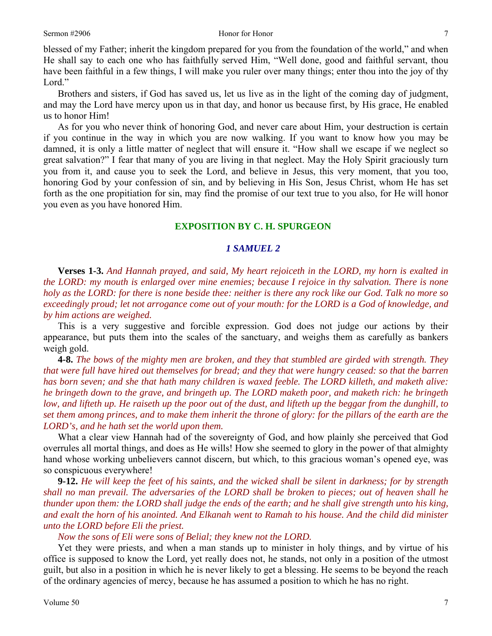blessed of my Father; inherit the kingdom prepared for you from the foundation of the world," and when He shall say to each one who has faithfully served Him, "Well done, good and faithful servant, thou have been faithful in a few things, I will make you ruler over many things; enter thou into the joy of thy Lord."

Brothers and sisters, if God has saved us, let us live as in the light of the coming day of judgment, and may the Lord have mercy upon us in that day, and honor us because first, by His grace, He enabled us to honor Him!

As for you who never think of honoring God, and never care about Him, your destruction is certain if you continue in the way in which you are now walking. If you want to know how you may be damned, it is only a little matter of neglect that will ensure it. "How shall we escape if we neglect so great salvation?" I fear that many of you are living in that neglect. May the Holy Spirit graciously turn you from it, and cause you to seek the Lord, and believe in Jesus, this very moment, that you too, honoring God by your confession of sin, and by believing in His Son, Jesus Christ, whom He has set forth as the one propitiation for sin, may find the promise of our text true to you also, for He will honor you even as you have honored Him.

## **EXPOSITION BY C. H. SPURGEON**

## *1 SAMUEL 2*

**Verses 1-3.** *And Hannah prayed, and said, My heart rejoiceth in the LORD, my horn is exalted in the LORD: my mouth is enlarged over mine enemies; because I rejoice in thy salvation. There is none holy as the LORD: for there is none beside thee: neither is there any rock like our God. Talk no more so exceedingly proud; let not arrogance come out of your mouth: for the LORD is a God of knowledge, and by him actions are weighed.* 

This is a very suggestive and forcible expression. God does not judge our actions by their appearance, but puts them into the scales of the sanctuary, and weighs them as carefully as bankers weigh gold.

**4-8.** *The bows of the mighty men are broken, and they that stumbled are girded with strength. They that were full have hired out themselves for bread; and they that were hungry ceased: so that the barren has born seven; and she that hath many children is waxed feeble. The LORD killeth, and maketh alive: he bringeth down to the grave, and bringeth up. The LORD maketh poor, and maketh rich: he bringeth low, and lifteth up. He raiseth up the poor out of the dust, and lifteth up the beggar from the dunghill, to set them among princes, and to make them inherit the throne of glory: for the pillars of the earth are the LORD's, and he hath set the world upon them.* 

What a clear view Hannah had of the sovereignty of God, and how plainly she perceived that God overrules all mortal things, and does as He wills! How she seemed to glory in the power of that almighty hand whose working unbelievers cannot discern, but which, to this gracious woman's opened eye, was so conspicuous everywhere!

**9-12.** *He will keep the feet of his saints, and the wicked shall be silent in darkness; for by strength shall no man prevail. The adversaries of the LORD shall be broken to pieces; out of heaven shall he thunder upon them: the LORD shall judge the ends of the earth; and he shall give strength unto his king, and exalt the horn of his anointed. And Elkanah went to Ramah to his house. And the child did minister unto the LORD before Eli the priest.* 

*Now the sons of Eli were sons of Belial; they knew not the LORD.* 

Yet they were priests, and when a man stands up to minister in holy things, and by virtue of his office is supposed to know the Lord, yet really does not, he stands, not only in a position of the utmost guilt, but also in a position in which he is never likely to get a blessing. He seems to be beyond the reach of the ordinary agencies of mercy, because he has assumed a position to which he has no right.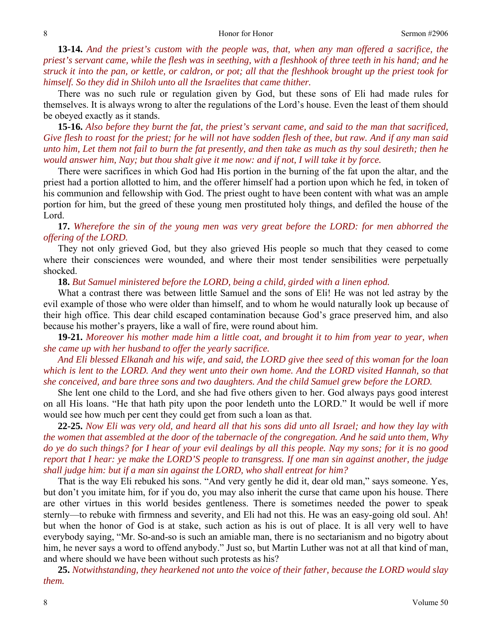**13-14.** *And the priest's custom with the people was, that, when any man offered a sacrifice, the priest's servant came, while the flesh was in seething, with a fleshhook of three teeth in his hand; and he struck it into the pan, or kettle, or caldron, or pot; all that the fleshhook brought up the priest took for himself. So they did in Shiloh unto all the Israelites that came thither.* 

There was no such rule or regulation given by God, but these sons of Eli had made rules for themselves. It is always wrong to alter the regulations of the Lord's house. Even the least of them should be obeyed exactly as it stands.

**15-16.** *Also before they burnt the fat, the priest's servant came, and said to the man that sacrificed, Give flesh to roast for the priest; for he will not have sodden flesh of thee, but raw. And if any man said unto him, Let them not fail to burn the fat presently, and then take as much as thy soul desireth; then he would answer him, Nay; but thou shalt give it me now: and if not, I will take it by force.* 

There were sacrifices in which God had His portion in the burning of the fat upon the altar, and the priest had a portion allotted to him, and the offerer himself had a portion upon which he fed, in token of his communion and fellowship with God. The priest ought to have been content with what was an ample portion for him, but the greed of these young men prostituted holy things, and defiled the house of the Lord.

**17.** *Wherefore the sin of the young men was very great before the LORD: for men abhorred the offering of the LORD.* 

They not only grieved God, but they also grieved His people so much that they ceased to come where their consciences were wounded, and where their most tender sensibilities were perpetually shocked.

**18.** *But Samuel ministered before the LORD, being a child, girded with a linen ephod.* 

What a contrast there was between little Samuel and the sons of Eli! He was not led astray by the evil example of those who were older than himself, and to whom he would naturally look up because of their high office. This dear child escaped contamination because God's grace preserved him, and also because his mother's prayers, like a wall of fire, were round about him.

**19-21.** *Moreover his mother made him a little coat, and brought it to him from year to year, when she came up with her husband to offer the yearly sacrifice.* 

*And Eli blessed Elkanah and his wife, and said, the LORD give thee seed of this woman for the loan which is lent to the LORD. And they went unto their own home. And the LORD visited Hannah, so that she conceived, and bare three sons and two daughters. And the child Samuel grew before the LORD.* 

She lent one child to the Lord, and she had five others given to her. God always pays good interest on all His loans. "He that hath pity upon the poor lendeth unto the LORD." It would be well if more would see how much per cent they could get from such a loan as that.

**22-25.** *Now Eli was very old, and heard all that his sons did unto all Israel; and how they lay with the women that assembled at the door of the tabernacle of the congregation. And he said unto them, Why do ye do such things? for I hear of your evil dealings by all this people. Nay my sons; for it is no good report that I hear: ye make the LORD'S people to transgress. If one man sin against another, the judge shall judge him: but if a man sin against the LORD, who shall entreat for him?* 

That is the way Eli rebuked his sons. "And very gently he did it, dear old man," says someone. Yes, but don't you imitate him, for if you do, you may also inherit the curse that came upon his house. There are other virtues in this world besides gentleness. There is sometimes needed the power to speak sternly—to rebuke with firmness and severity, and Eli had not this. He was an easy-going old soul. Ah! but when the honor of God is at stake, such action as his is out of place. It is all very well to have everybody saying, "Mr. So-and-so is such an amiable man, there is no sectarianism and no bigotry about him, he never says a word to offend anybody." Just so, but Martin Luther was not at all that kind of man, and where should we have been without such protests as his?

**25.** *Notwithstanding, they hearkened not unto the voice of their father, because the LORD would slay them.*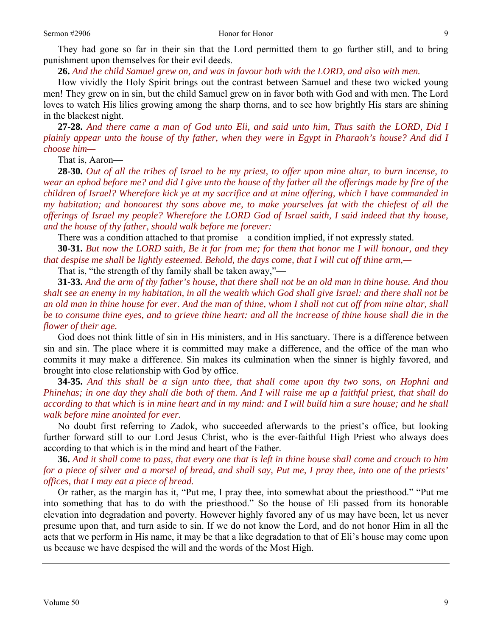They had gone so far in their sin that the Lord permitted them to go further still, and to bring punishment upon themselves for their evil deeds.

**26.** *And the child Samuel grew on, and was in favour both with the LORD, and also with men.* 

How vividly the Holy Spirit brings out the contrast between Samuel and these two wicked young men! They grew on in sin, but the child Samuel grew on in favor both with God and with men. The Lord loves to watch His lilies growing among the sharp thorns, and to see how brightly His stars are shining in the blackest night.

**27-28.** *And there came a man of God unto Eli, and said unto him, Thus saith the LORD, Did I plainly appear unto the house of thy father, when they were in Egypt in Pharaoh's house? And did I choose him—* 

That is, Aaron—

**28-30.** *Out of all the tribes of Israel to be my priest, to offer upon mine altar, to burn incense, to wear an ephod before me? and did I give unto the house of thy father all the offerings made by fire of the children of Israel? Wherefore kick ye at my sacrifice and at mine offering, which I have commanded in my habitation; and honourest thy sons above me, to make yourselves fat with the chiefest of all the offerings of Israel my people? Wherefore the LORD God of Israel saith, I said indeed that thy house, and the house of thy father, should walk before me forever:* 

There was a condition attached to that promise—a condition implied, if not expressly stated.

**30-31.** *But now the LORD saith, Be it far from me; for them that honor me I will honour, and they that despise me shall be lightly esteemed. Behold, the days come, that I will cut off thine arm,—* 

That is, "the strength of thy family shall be taken away,"—

**31-33.** *And the arm of thy father's house, that there shall not be an old man in thine house. And thou shalt see an enemy in my habitation, in all the wealth which God shall give Israel: and there shall not be an old man in thine house for ever. And the man of thine, whom I shall not cut off from mine altar, shall be to consume thine eyes, and to grieve thine heart: and all the increase of thine house shall die in the flower of their age.* 

God does not think little of sin in His ministers, and in His sanctuary. There is a difference between sin and sin. The place where it is committed may make a difference, and the office of the man who commits it may make a difference. Sin makes its culmination when the sinner is highly favored, and brought into close relationship with God by office.

**34-35.** *And this shall be a sign unto thee, that shall come upon thy two sons, on Hophni and Phinehas; in one day they shall die both of them. And I will raise me up a faithful priest, that shall do according to that which is in mine heart and in my mind: and I will build him a sure house; and he shall walk before mine anointed for ever.* 

No doubt first referring to Zadok, who succeeded afterwards to the priest's office, but looking further forward still to our Lord Jesus Christ, who is the ever-faithful High Priest who always does according to that which is in the mind and heart of the Father.

**36.** *And it shall come to pass, that every one that is left in thine house shall come and crouch to him for a piece of silver and a morsel of bread, and shall say, Put me, I pray thee, into one of the priests' offices, that I may eat a piece of bread.* 

Or rather, as the margin has it, "Put me, I pray thee, into somewhat about the priesthood." "Put me into something that has to do with the priesthood." So the house of Eli passed from its honorable elevation into degradation and poverty. However highly favored any of us may have been, let us never presume upon that, and turn aside to sin. If we do not know the Lord, and do not honor Him in all the acts that we perform in His name, it may be that a like degradation to that of Eli's house may come upon us because we have despised the will and the words of the Most High.